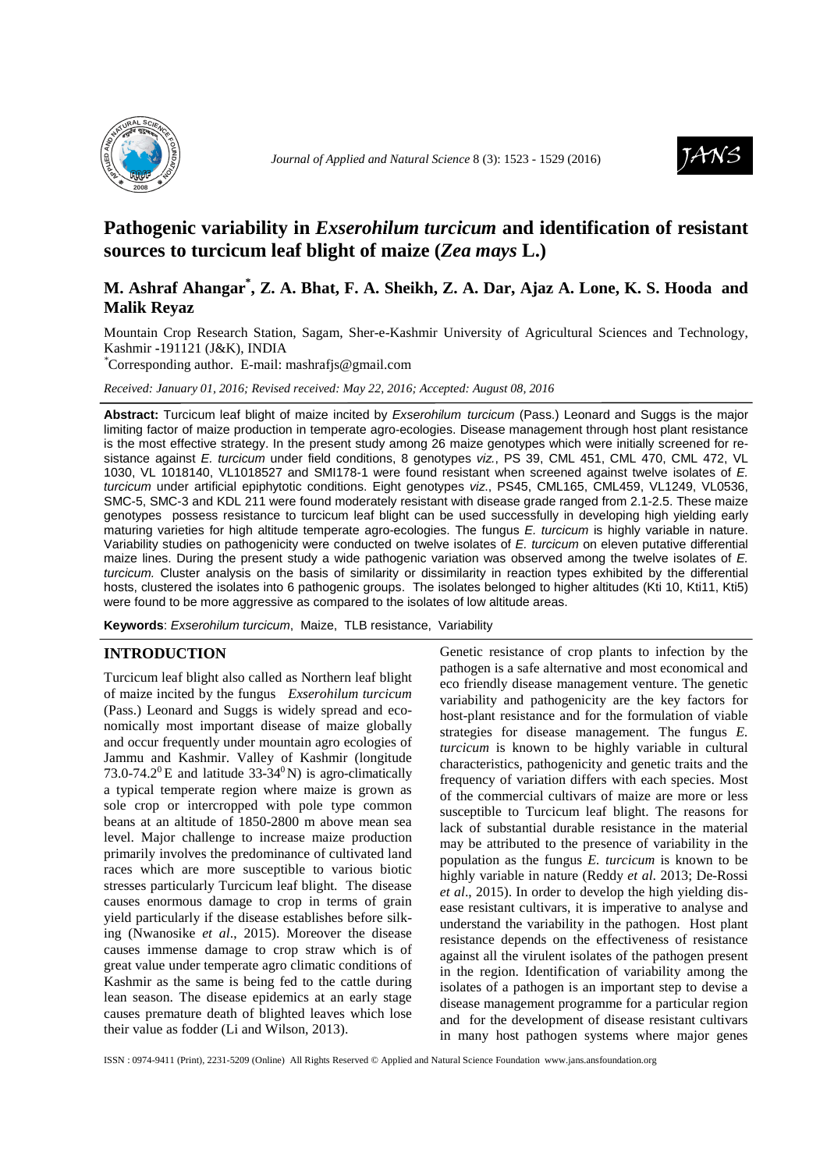

*Journal of Applied and Natural Science 8* (3): 1523 - 1529 (2016) **JANS** 



# **Pathogenic variability in** *Exserohilum turcicum* **and identification of resistant sources to turcicum leaf blight of maize (***Zea mays* **L.)**

## **M. Ashraf Ahangar\* , Z. A. Bhat, F. A. Sheikh, Z. A. Dar, Ajaz A. Lone, K. S. Hooda and Malik Reyaz**

Mountain Crop Research Station, Sagam, Sher-e-Kashmir University of Agricultural Sciences and Technology, Kashmir **-**191121 (J&K), INDIA

*\**Corresponding author. E-mail: mashrafjs@gmail.com

*Received: January 01, 2016; Revised received: May 22, 2016; Accepted: August 08, 2016*

**Abstract:** Turcicum leaf blight of maize incited by Exserohilum turcicum (Pass.) Leonard and Suggs is the major limiting factor of maize production in temperate agro-ecologies. Disease management through host plant resistance is the most effective strategy. In the present study among 26 maize genotypes which were initially screened for resistance against E. turcicum under field conditions, 8 genotypes viz., PS 39, CML 451, CML 470, CML 472, VL 1030, VL 1018140, VL1018527 and SMI178-1 were found resistant when screened against twelve isolates of E. turcicum under artificial epiphytotic conditions. Eight genotypes viz., PS45, CML165, CML459, VL1249, VL0536, SMC-5, SMC-3 and KDL 211 were found moderately resistant with disease grade ranged from 2.1-2.5. These maize genotypes possess resistance to turcicum leaf blight can be used successfully in developing high yielding early maturing varieties for high altitude temperate agro-ecologies. The fungus E. turcicum is highly variable in nature. Variability studies on pathogenicity were conducted on twelve isolates of E. turcicum on eleven putative differential maize lines. During the present study a wide pathogenic variation was observed among the twelve isolates of E. turcicum. Cluster analysis on the basis of similarity or dissimilarity in reaction types exhibited by the differential hosts, clustered the isolates into 6 pathogenic groups. The isolates belonged to higher altitudes (Kti 10, Kti11, Kti5) were found to be more aggressive as compared to the isolates of low altitude areas.

**Keywords**: Exserohilum turcicum, Maize, TLB resistance, Variability

### **INTRODUCTION**

Turcicum leaf blight also called as Northern leaf blight of maize incited by the fungus *Exserohilum turcicum*  (Pass.) Leonard and Suggs is widely spread and economically most important disease of maize globally and occur frequently under mountain agro ecologies of Jammu and Kashmir. Valley of Kashmir (longitude 73.0-74.2<sup>0</sup>E and latitude 33-34<sup>0</sup>N) is agro-climatically a typical temperate region where maize is grown as sole crop or intercropped with pole type common beans at an altitude of 1850-2800 m above mean sea level. Major challenge to increase maize production primarily involves the predominance of cultivated land races which are more susceptible to various biotic stresses particularly Turcicum leaf blight. The disease causes enormous damage to crop in terms of grain yield particularly if the disease establishes before silking (Nwanosike *et al*., 2015). Moreover the disease causes immense damage to crop straw which is of great value under temperate agro climatic conditions of Kashmir as the same is being fed to the cattle during lean season. The disease epidemics at an early stage causes premature death of blighted leaves which lose their value as fodder (Li and Wilson, 2013).

Genetic resistance of crop plants to infection by the pathogen is a safe alternative and most economical and eco friendly disease management venture. The genetic variability and pathogenicity are the key factors for host-plant resistance and for the formulation of viable strategies for disease management*.* The fungus *E. turcicum* is known to be highly variable in cultural characteristics, pathogenicity and genetic traits and the frequency of variation differs with each species. Most of the commercial cultivars of maize are more or less susceptible to Turcicum leaf blight. The reasons for lack of substantial durable resistance in the material may be attributed to the presence of variability in the population as the fungus *E. turcicum* is known to be highly variable in nature (Reddy *et al*. 2013; De-Rossi *et al*., 2015). In order to develop the high yielding disease resistant cultivars, it is imperative to analyse and understand the variability in the pathogen. Host plant resistance depends on the effectiveness of resistance against all the virulent isolates of the pathogen present in the region. Identification of variability among the isolates of a pathogen is an important step to devise a disease management programme for a particular region and for the development of disease resistant cultivars in many host pathogen systems where major genes

ISSN : 0974-9411 (Print), 2231-5209 (Online) All Rights Reserved © Applied and Natural Science Foundation www.jans.ansfoundation.org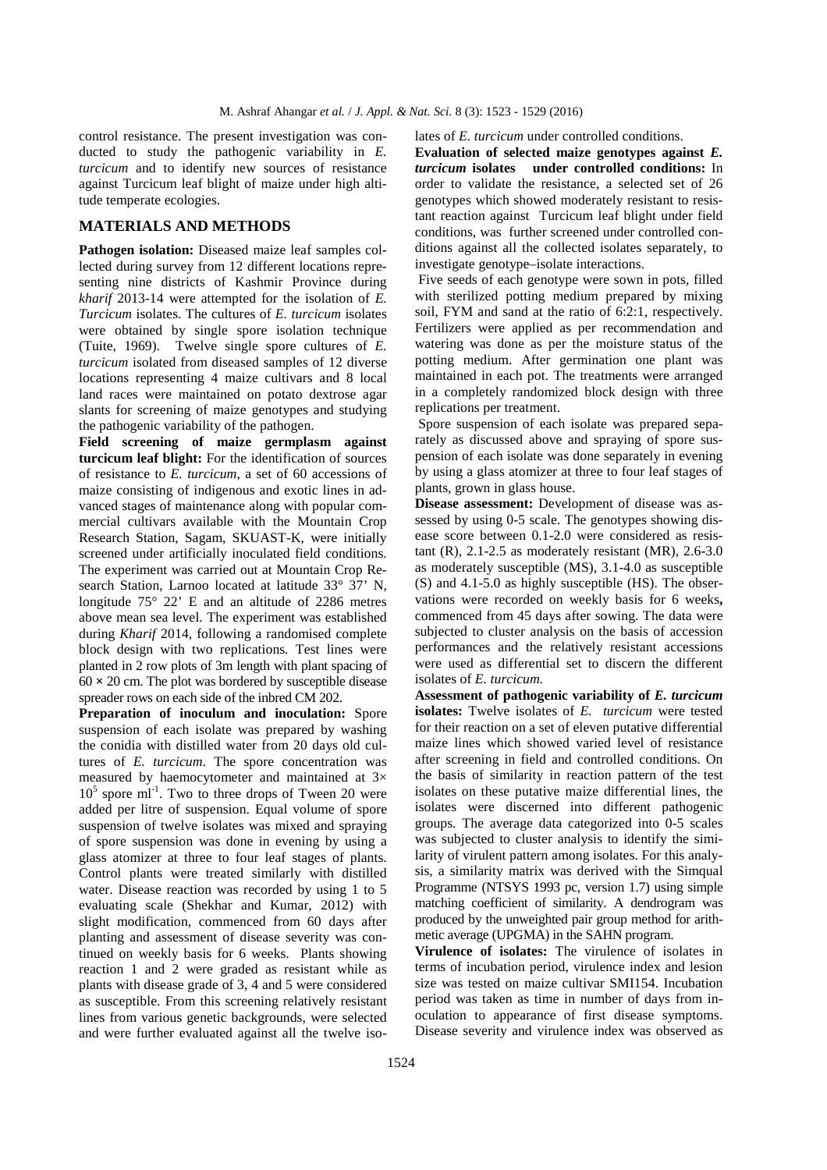control resistance. The present investigation was conducted to study the pathogenic variability in *E. turcicum* and to identify new sources of resistance against Turcicum leaf blight of maize under high altitude temperate ecologies.

#### **MATERIALS AND METHODS**

Pathogen isolation: Diseased maize leaf samples collected during survey from 12 different locations representing nine districts of Kashmir Province during *kharif* 2013-14 were attempted for the isolation of *E. Turcicum* isolates. The cultures of *E. turcicum* isolates were obtained by single spore isolation technique (Tuite, 1969). Twelve single spore cultures of *E. turcicum* isolated from diseased samples of 12 diverse locations representing 4 maize cultivars and 8 local land races were maintained on potato dextrose agar slants for screening of maize genotypes and studying the pathogenic variability of the pathogen.

**Field screening of maize germplasm against turcicum leaf blight:** For the identification of sources of resistance to *E. turcicum*, a set of 60 accessions of maize consisting of indigenous and exotic lines in advanced stages of maintenance along with popular commercial cultivars available with the Mountain Crop Research Station, Sagam, SKUAST-K, were initially screened under artificially inoculated field conditions. The experiment was carried out at Mountain Crop Research Station, Larnoo located at latitude 33° 37' N, longitude 75° 22' E and an altitude of 2286 metres above mean sea level. The experiment was established during *Kharif* 2014, following a randomised complete block design with two replications. Test lines were planted in 2 row plots of 3m length with plant spacing of 60 **×** 20 cm. The plot was bordered by susceptible disease spreader rows on each side of the inbred CM 202.

**Preparation of inoculum and inoculation:** Spore suspension of each isolate was prepared by washing the conidia with distilled water from 20 days old cultures of *E. turcicum*. The spore concentration was measured by haemocytometer and maintained at 3×  $10<sup>5</sup>$  spore ml<sup>-1</sup>. Two to three drops of Tween 20 were added per litre of suspension. Equal volume of spore suspension of twelve isolates was mixed and spraying of spore suspension was done in evening by using a glass atomizer at three to four leaf stages of plants. Control plants were treated similarly with distilled water. Disease reaction was recorded by using 1 to 5 evaluating scale (Shekhar and Kumar, 2012) with slight modification, commenced from 60 days after planting and assessment of disease severity was continued on weekly basis for 6 weeks. Plants showing reaction 1 and 2 were graded as resistant while as plants with disease grade of 3, 4 and 5 were considered as susceptible. From this screening relatively resistant lines from various genetic backgrounds, were selected and were further evaluated against all the twelve isolates of *E. turcicum* under controlled conditions.

**Evaluation of selected maize genotypes against** *E. turcicum* **isolates under controlled conditions:** In order to validate the resistance, a selected set of 26 genotypes which showed moderately resistant to resistant reaction against Turcicum leaf blight under field conditions, was further screened under controlled conditions against all the collected isolates separately, to investigate genotype–isolate interactions.

 Five seeds of each genotype were sown in pots, filled with sterilized potting medium prepared by mixing soil, FYM and sand at the ratio of 6:2:1, respectively. Fertilizers were applied as per recommendation and watering was done as per the moisture status of the potting medium. After germination one plant was maintained in each pot. The treatments were arranged in a completely randomized block design with three replications per treatment.

 Spore suspension of each isolate was prepared separately as discussed above and spraying of spore suspension of each isolate was done separately in evening by using a glass atomizer at three to four leaf stages of plants, grown in glass house.

**Disease assessment:** Development of disease was assessed by using 0-5 scale. The genotypes showing disease score between 0.1-2.0 were considered as resistant (R),  $2.1$ -2.5 as moderately resistant (MR),  $2.6$ -3.0 as moderately susceptible (MS), 3.1-4.0 as susceptible (S) and 4.1-5.0 as highly susceptible (HS). The observations were recorded on weekly basis for 6 weeks**,**  commenced from 45 days after sowing. The data were subjected to cluster analysis on the basis of accession performances and the relatively resistant accessions were used as differential set to discern the different isolates of *E. turcicum.*

**Assessment of pathogenic variability of** *E. turcicum* **isolates:** Twelve isolates of *E. turcicum* were tested for their reaction on a set of eleven putative differential maize lines which showed varied level of resistance after screening in field and controlled conditions. On the basis of similarity in reaction pattern of the test isolates on these putative maize differential lines, the isolates were discerned into different pathogenic groups. The average data categorized into 0-5 scales was subjected to cluster analysis to identify the similarity of virulent pattern among isolates. For this analysis, a similarity matrix was derived with the Simqual Programme (NTSYS 1993 pc, version 1.7) using simple matching coefficient of similarity. A dendrogram was produced by the unweighted pair group method for arithmetic average (UPGMA) in the SAHN program.

**Virulence of isolates:** The virulence of isolates in terms of incubation period, virulence index and lesion size was tested on maize cultivar SMI154. Incubation period was taken as time in number of days from inoculation to appearance of first disease symptoms. Disease severity and virulence index was observed as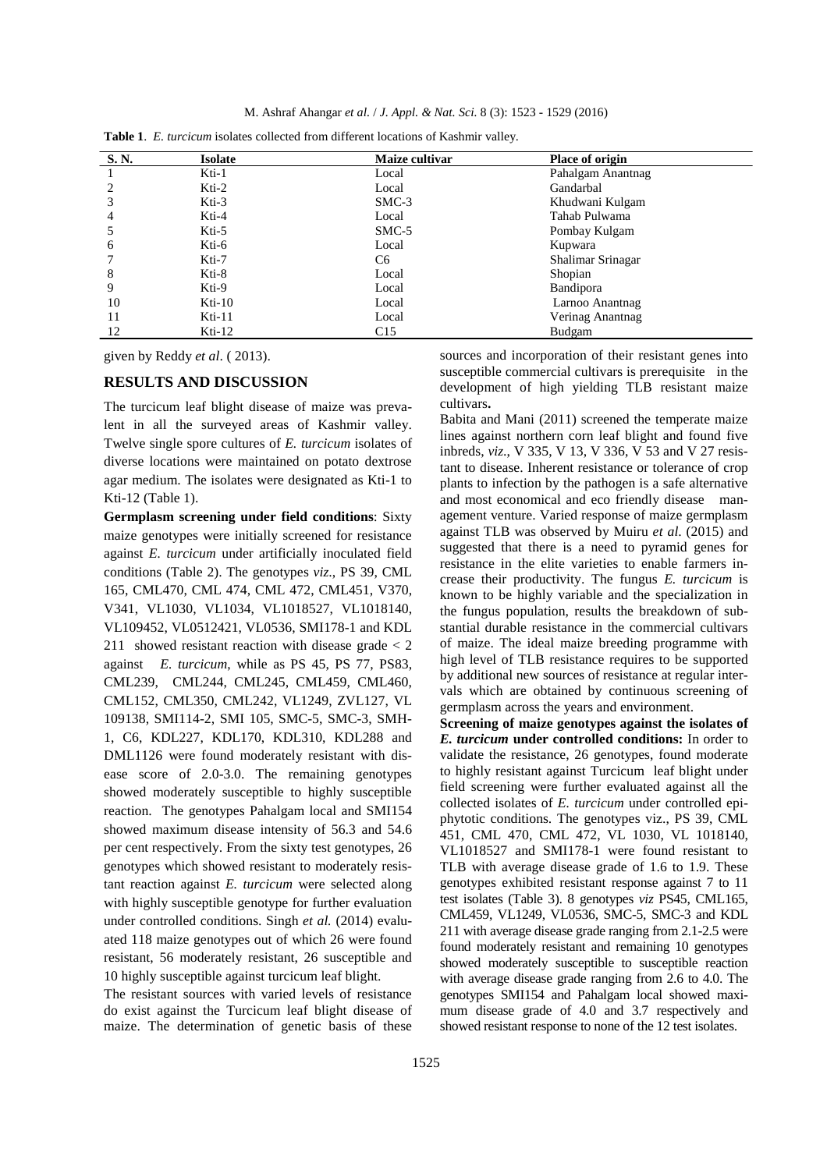M. Ashraf Ahangar *et al.* / *J. Appl. & Nat. Sci.* 8 (3): 1523 - 1529 (2016)

| S. N. | <b>Isolate</b> | Maize cultivar | Place of origin   |
|-------|----------------|----------------|-------------------|
|       | Kti-1          | Local          | Pahalgam Anantnag |
|       | $Kti-2$        | Local          | Gandarbal         |
|       | Kti-3          | $SMC-3$        | Khudwani Kulgam   |
|       | Kti-4          | Local          | Tahab Pulwama     |
|       | Kti-5          | $SMC-5$        | Pombay Kulgam     |
| 6     | Kti-6          | Local          | Kupwara           |
|       | Kti-7          | C6             | Shalimar Srinagar |
| 8     | Kti-8          | Local          | Shopian           |
| 9     | Kti-9          | Local          | Bandipora         |
| 10    | $Kti-10$       | Local          | Larnoo Anantnag   |
|       | $Kti-11$       | Local          | Verinag Anantnag  |
| 12    | $Kti-12$       | C15            | Budgam            |

| <b>Table 1.</b> E. turcicum isolates collected from different locations of Kashmir valley. |  |  |  |  |  |  |  |  |  |  |
|--------------------------------------------------------------------------------------------|--|--|--|--|--|--|--|--|--|--|
|--------------------------------------------------------------------------------------------|--|--|--|--|--|--|--|--|--|--|

given by Reddy *et al*. ( 2013).

#### **RESULTS AND DISCUSSION**

The turcicum leaf blight disease of maize was prevalent in all the surveyed areas of Kashmir valley. Twelve single spore cultures of *E. turcicum* isolates of diverse locations were maintained on potato dextrose agar medium. The isolates were designated as Kti-1 to Kti-12 (Table 1).

**Germplasm screening under field conditions**: Sixty maize genotypes were initially screened for resistance against *E. turcicum* under artificially inoculated field conditions (Table 2). The genotypes *viz*., PS 39, CML 165, CML470, CML 474, CML 472, CML451, V370, V341, VL1030, VL1034, VL1018527, VL1018140, VL109452, VL0512421, VL0536, SMI178-1 and KDL 211 showed resistant reaction with disease grade < 2 against *E. turcicum*, while as PS 45, PS 77, PS83, CML239, CML244, CML245, CML459, CML460, CML152, CML350, CML242, VL1249, ZVL127, VL 109138, SMI114-2, SMI 105, SMC-5, SMC-3, SMH-1, C6, KDL227, KDL170, KDL310, KDL288 and DML1126 were found moderately resistant with disease score of 2.0-3.0. The remaining genotypes showed moderately susceptible to highly susceptible reaction. The genotypes Pahalgam local and SMI154 showed maximum disease intensity of 56.3 and 54.6 per cent respectively. From the sixty test genotypes, 26 genotypes which showed resistant to moderately resistant reaction against *E. turcicum* were selected along with highly susceptible genotype for further evaluation under controlled conditions. Singh *et al.* (2014) evaluated 118 maize genotypes out of which 26 were found resistant, 56 moderately resistant, 26 susceptible and 10 highly susceptible against turcicum leaf blight.

The resistant sources with varied levels of resistance do exist against the Turcicum leaf blight disease of maize. The determination of genetic basis of these

sources and incorporation of their resistant genes into susceptible commercial cultivars is prerequisite in the development of high yielding TLB resistant maize cultivars**.**

Babita and Mani (2011) screened the temperate maize lines against northern corn leaf blight and found five inbreds, *viz*., V 335, V 13, V 336, V 53 and V 27 resistant to disease. Inherent resistance or tolerance of crop plants to infection by the pathogen is a safe alternative and most economical and eco friendly disease management venture. Varied response of maize germplasm against TLB was observed by Muiru *et al*. (2015) and suggested that there is a need to pyramid genes for resistance in the elite varieties to enable farmers increase their productivity. The fungus *E. turcicum* is known to be highly variable and the specialization in the fungus population, results the breakdown of substantial durable resistance in the commercial cultivars of maize. The ideal maize breeding programme with high level of TLB resistance requires to be supported by additional new sources of resistance at regular intervals which are obtained by continuous screening of germplasm across the years and environment.

**Screening of maize genotypes against the isolates of**  *E. turcicum* **under controlled conditions:** In order to validate the resistance, 26 genotypes, found moderate to highly resistant against Turcicum leaf blight under field screening were further evaluated against all the collected isolates of *E. turcicum* under controlled epiphytotic conditions. The genotypes viz., PS 39, CML 451, CML 470, CML 472, VL 1030, VL 1018140, VL1018527 and SMI178-1 were found resistant to TLB with average disease grade of 1.6 to 1.9. These genotypes exhibited resistant response against 7 to 11 test isolates (Table 3). 8 genotypes *viz* PS45, CML165, CML459, VL1249, VL0536, SMC-5, SMC-3 and KDL 211 with average disease grade ranging from 2.1-2.5 were found moderately resistant and remaining 10 genotypes showed moderately susceptible to susceptible reaction with average disease grade ranging from 2.6 to 4.0. The genotypes SMI154 and Pahalgam local showed maximum disease grade of 4.0 and 3.7 respectively and showed resistant response to none of the 12 test isolates.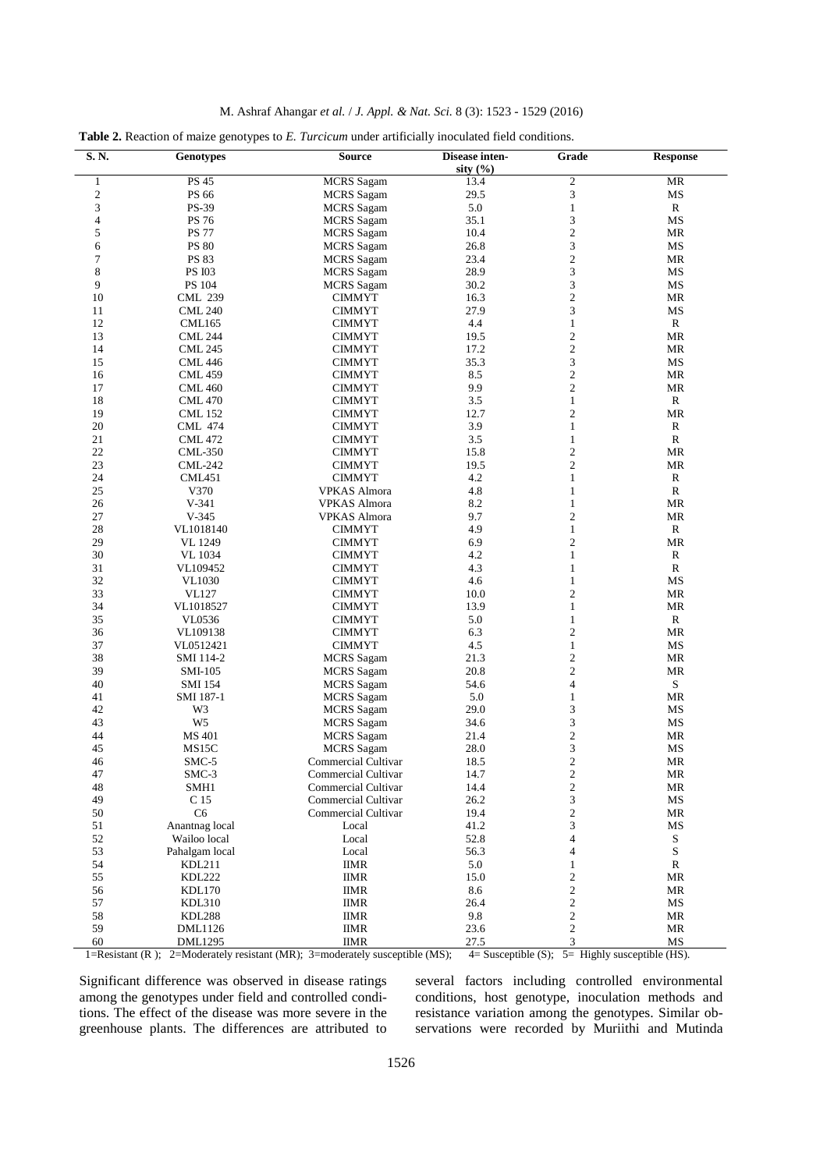| M. Ashraf Ahangar et al. / J. Appl. & Nat. Sci. 8 (3): 1523 - 1529 (2016) |  |  |
|---------------------------------------------------------------------------|--|--|
|---------------------------------------------------------------------------|--|--|

|  | Table 2. Reaction of maize genotypes to E. Turcicum under artificially inoculated field conditions. |
|--|-----------------------------------------------------------------------------------------------------|
|  |                                                                                                     |

| S.N.             | <b>Genotypes</b> | <b>Source</b>       | Disease inten- | Grade                    | <b>Response</b>                   |
|------------------|------------------|---------------------|----------------|--------------------------|-----------------------------------|
|                  |                  |                     | sity $(\% )$   |                          |                                   |
| $\mathbf{1}$     | <b>PS 45</b>     | <b>MCRS</b> Sagam   | 13.4           | $\sqrt{2}$               | <b>MR</b>                         |
| $\boldsymbol{2}$ | PS 66            | <b>MCRS</b> Sagam   | 29.5           | $\mathfrak{Z}$           | MS                                |
| 3                | PS-39            | <b>MCRS</b> Sagam   | 5.0            | $\mathbf{1}$             | $\mathbb{R}$                      |
| 4                | <b>PS 76</b>     | <b>MCRS</b> Sagam   | 35.1           | 3                        | MS                                |
| 5                | <b>PS 77</b>     | <b>MCRS</b> Sagam   | 10.4           | $\mathfrak{2}$           | MR                                |
| 6                | <b>PS 80</b>     | <b>MCRS</b> Sagam   | 26.8           | 3                        | MS                                |
| 7                | PS 83            | <b>MCRS</b> Sagam   | 23.4           | $\overline{c}$           | MR                                |
| 8                | <b>PS I03</b>    | <b>MCRS</b> Sagam   | 28.9           | 3                        | MS                                |
| 9                | PS 104           | <b>MCRS</b> Sagam   | 30.2           | $\mathfrak{Z}$           | MS                                |
| 10               | <b>CML 239</b>   | <b>CIMMYT</b>       | 16.3           | $\sqrt{2}$               | MR                                |
| 11               | <b>CML 240</b>   | <b>CIMMYT</b>       | 27.9           | 3                        | MS                                |
| 12               | <b>CML165</b>    | <b>CIMMYT</b>       | 4.4            | $\mathbf{1}$             | $\mathbb{R}$                      |
| 13               | <b>CML 244</b>   | <b>CIMMYT</b>       | 19.5           | $\sqrt{2}$               | MR                                |
| 14               | <b>CML 245</b>   | <b>CIMMYT</b>       | 17.2           | $\sqrt{2}$               | <b>MR</b>                         |
| 15               | <b>CML 446</b>   | <b>CIMMYT</b>       | 35.3           | 3                        | MS                                |
| 16               | <b>CML 459</b>   | <b>CIMMYT</b>       | 8.5            | $\mathbf{2}$             | MR                                |
| 17               | <b>CML 460</b>   | <b>CIMMYT</b>       | 9.9            | $\mathfrak{2}$           | MR                                |
| 18               | <b>CML 470</b>   | <b>CIMMYT</b>       | 3.5            | $\mathbf{1}$             | R                                 |
| 19               | <b>CML 152</b>   | <b>CIMMYT</b>       | 12.7           | $\mathfrak{2}$           | MR                                |
| 20               | <b>CML 474</b>   | <b>CIMMYT</b>       | 3.9            | $\mathbf{1}$             | $\mathbb{R}$                      |
| 21               | <b>CML 472</b>   | <b>CIMMYT</b>       | 3.5            | $\mathbf{1}$             | ${\bf R}$                         |
| 22               | <b>CML-350</b>   | <b>CIMMYT</b>       | 15.8           | $\mathfrak{2}$           | MR                                |
| 23               | <b>CML-242</b>   |                     | 19.5           | $\mathfrak{2}$           | MR                                |
|                  |                  | <b>CIMMYT</b>       | 4.2            |                          |                                   |
| 24               | CML451           | <b>CIMMYT</b>       |                | $\mathbf{1}$             | ${\bf R}$                         |
| 25               | V370             | <b>VPKAS Almora</b> | 4.8            | $\mathbf{1}$             | $\mathbb{R}$                      |
| 26               | $V-341$          | VPKAS Almora        | 8.2            | $\mathbf{1}$             | MR                                |
| 27               | $V-345$          | <b>VPKAS Almora</b> | 9.7            | $\mathfrak{2}$           | MR                                |
| 28               | VL1018140        | <b>CIMMYT</b>       | 4.9            | $\mathbf{1}$             | $\mathbb{R}$                      |
| 29               | VL 1249          | <b>CIMMYT</b>       | 6.9            | $\mathfrak{2}$           | MR                                |
| 30               | <b>VL</b> 1034   | <b>CIMMYT</b>       | 4.2            | $\mathbf{1}$             | $\mathbb{R}$                      |
| 31               | VL109452         | <b>CIMMYT</b>       | 4.3            | $\mathbf{1}$             | $\mathbb{R}$                      |
| 32               | <b>VL1030</b>    | <b>CIMMYT</b>       | 4.6            | $\mathbf{1}$             | MS                                |
| 33               | <b>VL127</b>     | <b>CIMMYT</b>       | 10.0           | $\mathfrak{2}$           | MR                                |
| 34               | VL1018527        | <b>CIMMYT</b>       | 13.9           | $\mathbf{1}$             | MR                                |
| 35               | VL0536           | <b>CIMMYT</b>       | 5.0            | $\mathbf{1}$             | $\mathbb{R}$                      |
| 36               | VL109138         | <b>CIMMYT</b>       | 6.3            | $\mathfrak{2}$           | <b>MR</b>                         |
| 37               | VL0512421        | <b>CIMMYT</b>       | 4.5            | $\mathbf{1}$             | MS                                |
| 38               | SMI 114-2        | <b>MCRS</b> Sagam   | 21.3           | $\mathbf{2}$             | MR                                |
| 39               | SMI-105          | <b>MCRS</b> Sagam   | 20.8           | $\mathfrak{2}$           | MR                                |
| 40               | <b>SMI 154</b>   | <b>MCRS</b> Sagam   | 54.6           | $\overline{4}$           | ${\bf S}$                         |
| 41               | SMI 187-1        | <b>MCRS</b> Sagam   | 5.0            | $\mathbf{1}$             | MR                                |
| 42               | W3               | <b>MCRS</b> Sagam   | 29.0           | 3                        | MS                                |
| 43               | W <sub>5</sub>   | <b>MCRS</b> Sagam   | 34.6           | 3                        | MS                                |
| 44               | <b>MS 401</b>    | <b>MCRS</b> Sagam   | 21.4           | $\sqrt{2}$               | MR                                |
| 45               | MS15C            | <b>MCRS</b> Sagam   | 28.0           | 3                        | MS                                |
| 46               | SMC-5            | Commercial Cultivar | 18.5           | $\overline{c}$           | MR                                |
| 47               | SMC-3            | Commercial Cultivar | 14.7           | 2                        | $\ensuremath{\mathsf{MR}}\xspace$ |
| 48               | SMH1             | Commercial Cultivar | 14.4           | $\sqrt{2}$               | MR                                |
| 49               | C 15             | Commercial Cultivar | 26.2           | 3                        | MS                                |
| 50               | C <sub>6</sub>   | Commercial Cultivar | 19.4           | $\sqrt{2}$               | MR                                |
| 51               | Anantnag local   | Local               | 41.2           | 3                        | MS                                |
| 52               | Wailoo local     | Local               | 52.8           | $\overline{4}$           | ${\bf S}$                         |
| 53               | Pahalgam local   | Local               | 56.3           | $\overline{\mathcal{A}}$ | S                                 |
| 54               | KDL211           | <b>IIMR</b>         | 5.0            |                          | R                                 |
| 55               | <b>KDL222</b>    |                     |                | $\mathbf{1}$             | MR                                |
|                  |                  | <b>IIMR</b>         | 15.0           | $\boldsymbol{2}$         |                                   |
| 56               | <b>KDL170</b>    | <b>IIMR</b>         | 8.6            | $\boldsymbol{2}$         | MR                                |
| 57               | <b>KDL310</b>    | <b>IIMR</b>         | 26.4           | $\boldsymbol{2}$         | $\rm MS$                          |
| 58               | <b>KDL288</b>    | <b>IIMR</b>         | 9.8            | $\boldsymbol{2}$         | MR                                |
| 59               | DML1126          | <b>IIMR</b>         | 23.6           | $\boldsymbol{2}$         | MR                                |
| 60               | <b>DML1295</b>   | <b>IIMR</b>         | 27.5           | 3                        | MS                                |

1=Resistant (R ); 2=Moderately resistant (MR); 3=moderately susceptible (MS); 4= Susceptible (S); 5= Highly susceptible (HS).

Significant difference was observed in disease ratings among the genotypes under field and controlled conditions. The effect of the disease was more severe in the greenhouse plants. The differences are attributed to several factors including controlled environmental conditions, host genotype, inoculation methods and resistance variation among the genotypes. Similar observations were recorded by Muriithi and Mutinda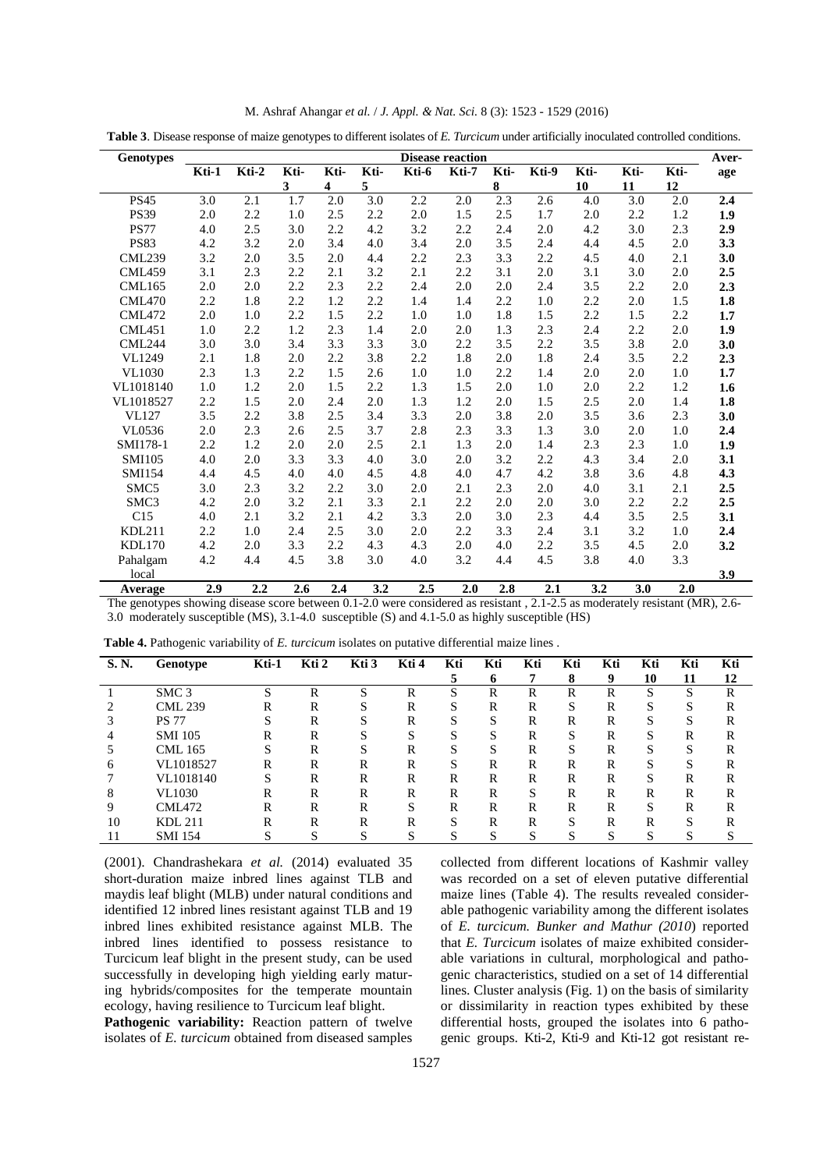| M. Ashraf Ahangar et al. / J. Appl. & Nat. Sci. 8 (3): 1523 - 1529 (2016) |  |  |  |
|---------------------------------------------------------------------------|--|--|--|
|---------------------------------------------------------------------------|--|--|--|

|  |  |  | Table 3. Disease response of maize genotypes to different isolates of E. Turcicum under artificially inoculated controlled conditions. |
|--|--|--|----------------------------------------------------------------------------------------------------------------------------------------|
|  |  |  |                                                                                                                                        |

| <b>Genotypes</b> |       |       |      |                  |                  |       | <b>Disease reaction</b> |           |         |      |                  |                  | Aver-   |
|------------------|-------|-------|------|------------------|------------------|-------|-------------------------|-----------|---------|------|------------------|------------------|---------|
|                  | Kti-1 | Kti-2 | Kti- | Kti-             | Kti-             | Kti-6 | Kti-7                   | Kti-      | Kti-9   | Kti- | Kti-             | Kti-             | age     |
|                  |       |       | 3    | $\boldsymbol{4}$ | 5                |       |                         | ${\bf 8}$ |         | 10   | 11               | 12               |         |
| <b>PS45</b>      | 3.0   | 2.1   | 1.7  | $\overline{2.0}$ | $\overline{3.0}$ | 2.2   | $2.0\,$                 | 2.3       | 2.6     | 4.0  | $\overline{3.0}$ | $\overline{2.0}$ | 2.4     |
| <b>PS39</b>      | 2.0   | 2.2   | 1.0  | 2.5              | 2.2              | 2.0   | 1.5                     | 2.5       | 1.7     | 2.0  | 2.2              | 1.2              | 1.9     |
| <b>PS77</b>      | 4.0   | 2.5   | 3.0  | 2.2              | 4.2              | 3.2   | 2.2                     | 2.4       | $2.0\,$ | 4.2  | 3.0              | 2.3              | 2.9     |
| <b>PS83</b>      | 4.2   | 3.2   | 2.0  | 3.4              | 4.0              | 3.4   | 2.0                     | 3.5       | 2.4     | 4.4  | 4.5              | 2.0              | 3.3     |
| <b>CML239</b>    | 3.2   | 2.0   | 3.5  | 2.0              | 4.4              | 2.2   | 2.3                     | 3.3       | 2.2     | 4.5  | 4.0              | 2.1              | 3.0     |
| <b>CML459</b>    | 3.1   | 2.3   | 2.2  | 2.1              | 3.2              | 2.1   | 2.2                     | 3.1       | 2.0     | 3.1  | 3.0              | 2.0              | 2.5     |
| <b>CML165</b>    | 2.0   | 2.0   | 2.2  | 2.3              | 2.2              | 2.4   | 2.0                     | 2.0       | 2.4     | 3.5  | 2.2              | 2.0              | 2.3     |
| <b>CML470</b>    | 2.2   | 1.8   | 2.2  | 1.2              | 2.2              | 1.4   | 1.4                     | 2.2       | 1.0     | 2.2  | 2.0              | 1.5              | $1.8\,$ |
| CML472           | 2.0   | 1.0   | 2.2  | 1.5              | 2.2              | 1.0   | 1.0                     | 1.8       | 1.5     | 2.2  | 1.5              | 2.2              | 1.7     |
| CML451           | 1.0   | 2.2   | 1.2  | 2.3              | 1.4              | 2.0   | 2.0                     | 1.3       | 2.3     | 2.4  | 2.2              | 2.0              | 1.9     |
| <b>CML244</b>    | 3.0   | 3.0   | 3.4  | 3.3              | 3.3              | 3.0   | 2.2                     | 3.5       | 2.2     | 3.5  | 3.8              | 2.0              | 3.0     |
| VL1249           | 2.1   | 1.8   | 2.0  | 2.2              | 3.8              | 2.2   | 1.8                     | 2.0       | 1.8     | 2.4  | 3.5              | 2.2              | 2.3     |
| <b>VL1030</b>    | 2.3   | 1.3   | 2.2  | 1.5              | 2.6              | 1.0   | $1.0\,$                 | 2.2       | 1.4     | 2.0  | 2.0              | 1.0              | 1.7     |
| VL1018140        | 1.0   | 1.2   | 2.0  | 1.5              | 2.2              | 1.3   | 1.5                     | 2.0       | 1.0     | 2.0  | 2.2              | 1.2              | 1.6     |
| VL1018527        | 2.2   | 1.5   | 2.0  | 2.4              | 2.0              | 1.3   | 1.2                     | 2.0       | 1.5     | 2.5  | 2.0              | 1.4              | 1.8     |
| <b>VL127</b>     | 3.5   | 2.2   | 3.8  | 2.5              | 3.4              | 3.3   | 2.0                     | 3.8       | 2.0     | 3.5  | 3.6              | 2.3              | 3.0     |
| VL0536           | 2.0   | 2.3   | 2.6  | 2.5              | 3.7              | 2.8   | 2.3                     | 3.3       | 1.3     | 3.0  | 2.0              | 1.0              | 2.4     |
| SMI178-1         | 2.2   | 1.2   | 2.0  | 2.0              | 2.5              | 2.1   | 1.3                     | 2.0       | 1.4     | 2.3  | 2.3              | 1.0              | 1.9     |
| <b>SMI105</b>    | 4.0   | 2.0   | 3.3  | 3.3              | 4.0              | 3.0   | 2.0                     | 3.2       | 2.2     | 4.3  | 3.4              | 2.0              | 3.1     |
| <b>SMI154</b>    | 4.4   | 4.5   | 4.0  | 4.0              | 4.5              | 4.8   | 4.0                     | 4.7       | 4.2     | 3.8  | 3.6              | 4.8              | 4.3     |
| SMC5             | 3.0   | 2.3   | 3.2  | 2.2              | 3.0              | 2.0   | 2.1                     | 2.3       | $2.0\,$ | 4.0  | 3.1              | 2.1              | 2.5     |
| SMC3             | 4.2   | 2.0   | 3.2  | 2.1              | 3.3              | 2.1   | 2.2                     | 2.0       | 2.0     | 3.0  | 2.2              | 2.2              | 2.5     |
| C15              | 4.0   | 2.1   | 3.2  | 2.1              | 4.2              | 3.3   | 2.0                     | 3.0       | 2.3     | 4.4  | 3.5              | 2.5              | 3.1     |
| <b>KDL211</b>    | 2.2   | 1.0   | 2.4  | 2.5              | 3.0              | 2.0   | 2.2                     | 3.3       | 2.4     | 3.1  | 3.2              | 1.0              | 2.4     |
| <b>KDL170</b>    | 4.2   | 2.0   | 3.3  | 2.2              | 4.3              | 4.3   | $2.0\,$                 | 4.0       | 2.2     | 3.5  | 4.5              | 2.0              | 3.2     |
| Pahalgam         | 4.2   | 4.4   | 4.5  | 3.8              | 3.0              | 4.0   | 3.2                     | 4.4       | 4.5     | 3.8  | 4.0              | 3.3              |         |
| local            |       |       |      |                  |                  |       |                         |           |         |      |                  |                  | 3.9     |
| Average          | 2.9   | 2.2   | 2.6  | 2.4              | 3.2              | 2.5   | 2.0                     | 2.8       | 2.1     | 3.2  | 3.0              | 2.0              |         |

The genotypes showing disease score between 0.1-2.0 were considered as resistant , 2.1-2.5 as moderately resistant (MR), 2.6- 3.0 moderately susceptible (MS), 3.1-4.0 susceptible (S) and 4.1-5.0 as highly susceptible (HS)

| S. N. | Genotype         | Kti-1       | Kti 2  | Kti <sub>3</sub> | Kti 4        | Kti | Kti                | Kti    | Kti    | Kti               | Kti          | Kti          | Kti |
|-------|------------------|-------------|--------|------------------|--------------|-----|--------------------|--------|--------|-------------------|--------------|--------------|-----|
|       |                  |             |        |                  |              |     | 6                  |        | 8      | 9                 | 10           | 11           | 12  |
|       | SMC <sub>3</sub> | S           | R      | S                | R            | S   | R                  | R      | R      | R                 | C            | S            | R   |
|       | <b>CML 239</b>   | R           | R      | c                | R            | S   | R                  | R      | S      | R                 | S            | S            | R   |
|       | <b>PS 77</b>     |             | R      |                  | R            | S   | $\mathbf{C}$<br>Ö, | R      | R      | R                 | C            |              | R   |
|       | <b>SMI</b> 105   | R           | R      |                  | S            | S   | $\mathbf{C}$<br>C. | R      | S      | R                 | S            | R            | R   |
|       | CML 165          | $\sim$      | R      |                  | R            | S   | c<br>Ő             | R      | S      | R                 | $\mathbf{C}$ | S            | R   |
| h     | VL1018527        | R           | R      | R                | R            | S   | R                  | R      | R      | R                 | $\mathbf{C}$ | S            | R   |
|       | VL1018140        | c           | R      | R                | R            | R   | R                  | R      | R      | R                 | S            | R            | R   |
| 8     | <b>VL1030</b>    | R           | R      | R                | R            | R   | R                  | S      | R      | R                 | R            | R            | R   |
|       | CML472           | R           | R      | R                | S            | R   | R                  | R      | R      | R                 | S            | R            | R   |
| 10    | <b>KDL 211</b>   | R           | R      | R                | R            | S   | R                  | R      | S      | R                 | R            | S            | R   |
|       | <b>SMI</b> 154   | $\sim$<br>Ő | c<br>Ő | Ő                | $\mathbf{C}$ | S   | $\sim$             | C<br>Ő | $\sim$ | $\mathbf{C}$<br>O | $\sim$       | $\mathbf{C}$ | C   |

**Table 4.** Pathogenic variability of *E. turcicum* isolates on putative differential maize lines .

(2001). Chandrashekara *et al.* (2014) evaluated 35 short-duration maize inbred lines against TLB and maydis leaf blight (MLB) under natural conditions and identified 12 inbred lines resistant against TLB and 19 inbred lines exhibited resistance against MLB. The inbred lines identified to possess resistance to Turcicum leaf blight in the present study, can be used successfully in developing high yielding early maturing hybrids/composites for the temperate mountain ecology, having resilience to Turcicum leaf blight.

Pathogenic variability: Reaction pattern of twelve isolates of *E. turcicum* obtained from diseased samples collected from different locations of Kashmir valley was recorded on a set of eleven putative differential maize lines (Table 4). The results revealed considerable pathogenic variability among the different isolates of *E. turcicum. Bunker and Mathur (2010*) reported that *E. Turcicum* isolates of maize exhibited considerable variations in cultural, morphological and pathogenic characteristics, studied on a set of 14 differential lines. Cluster analysis (Fig. 1) on the basis of similarity or dissimilarity in reaction types exhibited by these differential hosts, grouped the isolates into 6 pathogenic groups. Kti-2, Kti-9 and Kti-12 got resistant re-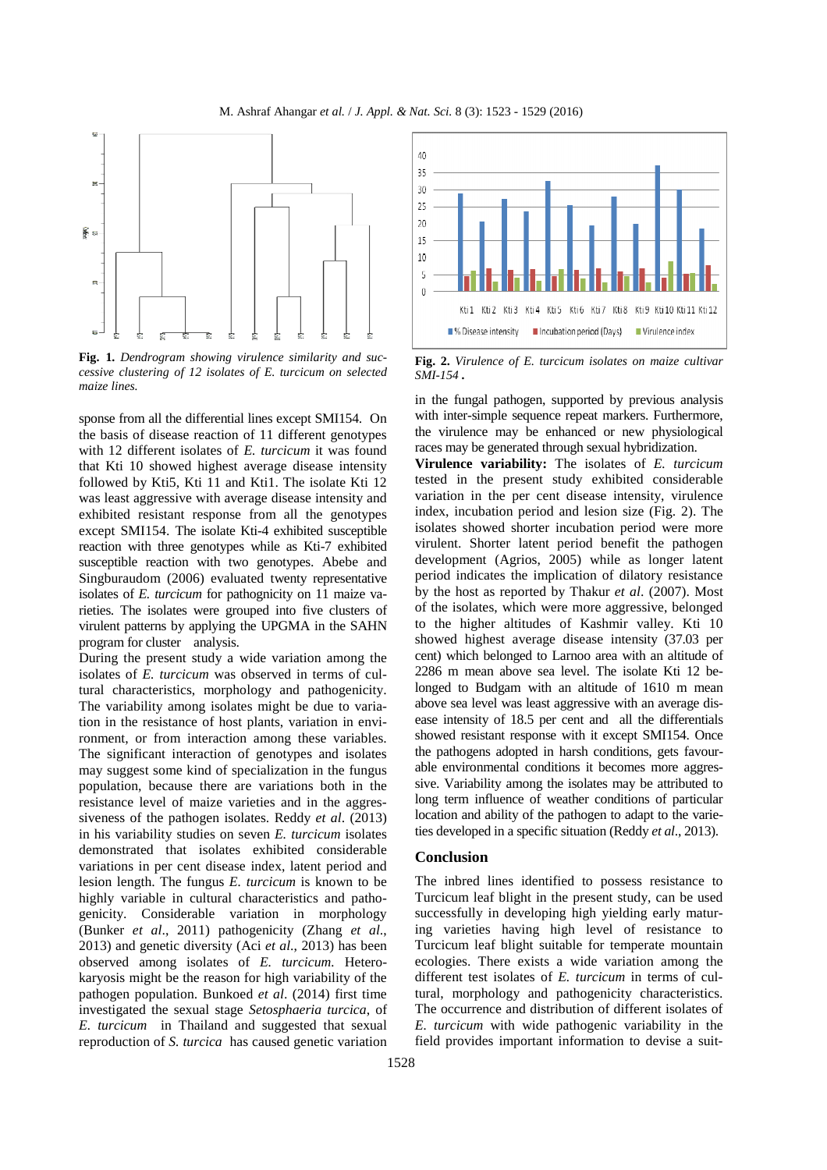M. Ashraf Ahangar *et al.* / *J. Appl. & Nat. Sci.* 8 (3): 1523 - 1529 (2016)



**Fig. 1.** *Dendrogram showing virulence similarity and successive clustering of 12 isolates of E. turcicum on selected maize lines.* 

sponse from all the differential lines except SMI154. On the basis of disease reaction of 11 different genotypes with 12 different isolates of *E. turcicum* it was found that Kti 10 showed highest average disease intensity followed by Kti5, Kti 11 and Kti1. The isolate Kti 12 was least aggressive with average disease intensity and exhibited resistant response from all the genotypes except SMI154. The isolate Kti-4 exhibited susceptible reaction with three genotypes while as Kti-7 exhibited susceptible reaction with two genotypes. Abebe and Singburaudom (2006) evaluated twenty representative isolates of *E. turcicum* for pathognicity on 11 maize varieties. The isolates were grouped into five clusters of virulent patterns by applying the UPGMA in the SAHN program for cluster analysis.

During the present study a wide variation among the isolates of *E. turcicum* was observed in terms of cultural characteristics, morphology and pathogenicity. The variability among isolates might be due to variation in the resistance of host plants, variation in environment, or from interaction among these variables. The significant interaction of genotypes and isolates may suggest some kind of specialization in the fungus population, because there are variations both in the resistance level of maize varieties and in the aggressiveness of the pathogen isolates. Reddy *et al*. (2013) in his variability studies on seven *E. turcicum* isolates demonstrated that isolates exhibited considerable variations in per cent disease index, latent period and lesion length. The fungus *E. turcicum* is known to be highly variable in cultural characteristics and pathogenicity. Considerable variation in morphology (Bunker *et al*., 2011) pathogenicity (Zhang *et al*., 2013) and genetic diversity (Aci *et al*., 2013) has been observed among isolates of *E. turcicum.* Heterokaryosis might be the reason for high variability of the pathogen population. Bunkoed *et al*. (2014) first time investigated the sexual stage *Setosphaeria turcica*, of *E. turcicum* in Thailand and suggested that sexual reproduction of *S. turcica* has caused genetic variation



**Fig. 2.** *Virulence of E. turcicum isolates on maize cultivar SMI-154 .* 

in the fungal pathogen, supported by previous analysis with inter-simple sequence repeat markers. Furthermore, the virulence may be enhanced or new physiological races may be generated through sexual hybridization.

**Virulence variability:** The isolates of *E. turcicum* tested in the present study exhibited considerable variation in the per cent disease intensity, virulence index, incubation period and lesion size (Fig. 2). The isolates showed shorter incubation period were more virulent. Shorter latent period benefit the pathogen development (Agrios, 2005) while as longer latent period indicates the implication of dilatory resistance by the host as reported by Thakur *et al*. (2007). Most of the isolates, which were more aggressive, belonged to the higher altitudes of Kashmir valley. Kti 10 showed highest average disease intensity (37.03 per cent) which belonged to Larnoo area with an altitude of 2286 m mean above sea level. The isolate Kti 12 belonged to Budgam with an altitude of 1610 m mean above sea level was least aggressive with an average disease intensity of 18.5 per cent and all the differentials showed resistant response with it except SMI154. Once the pathogens adopted in harsh conditions, gets favourable environmental conditions it becomes more aggressive. Variability among the isolates may be attributed to long term influence of weather conditions of particular location and ability of the pathogen to adapt to the varieties developed in a specific situation (Reddy *et al*., 2013).

#### **Conclusion**

The inbred lines identified to possess resistance to Turcicum leaf blight in the present study, can be used successfully in developing high yielding early maturing varieties having high level of resistance to Turcicum leaf blight suitable for temperate mountain ecologies. There exists a wide variation among the different test isolates of *E. turcicum* in terms of cultural, morphology and pathogenicity characteristics. The occurrence and distribution of different isolates of *E. turcicum* with wide pathogenic variability in the field provides important information to devise a suit